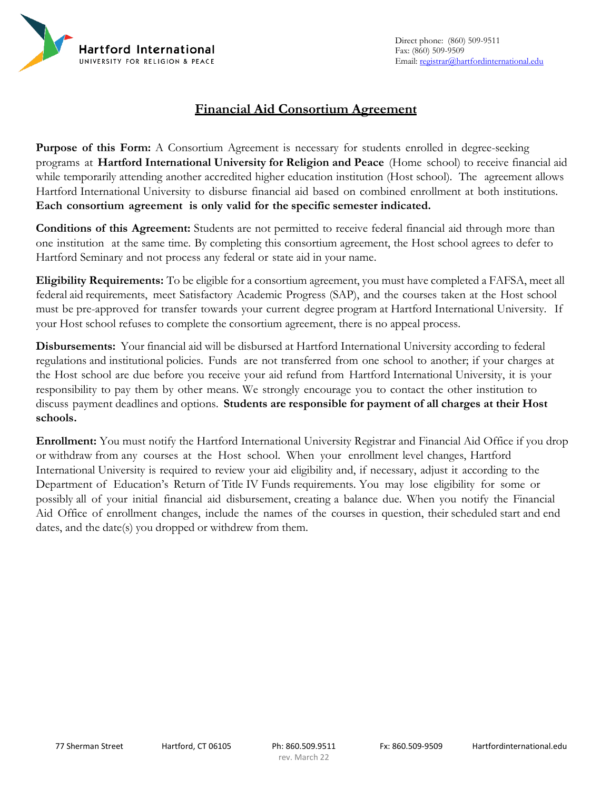

# **Financial Aid Consortium Agreement**

**Purpose of this Form:** A Consortium Agreement is necessary for students enrolled in degree-seeking programs at **Hartford International University for Religion and Peace** (Home school) to receive financial aid while temporarily attending another accredited higher education institution (Host school). The agreement allows Hartford International University to disburse financial aid based on combined enrollment at both institutions. **Each consortium agreement is only valid for the specific semester indicated.**

**Conditions of this Agreement:** Students are not permitted to receive federal financial aid through more than one institution at the same time. By completing this consortium agreement, the Host school agrees to defer to Hartford Seminary and not process any federal or state aid in your name.

**Eligibility Requirements:** To be eligible for a consortium agreement, you must have completed a FAFSA, meet all federal aid requirements, meet Satisfactory Academic Progress (SAP), and the courses taken at the Host school must be pre-approved for transfer towards your current degree program at Hartford International University. If your Host school refuses to complete the consortium agreement, there is no appeal process.

**Disbursements:** Your financial aid will be disbursed at Hartford International University according to federal regulations and institutional policies. Funds are not transferred from one school to another; if your charges at the Host school are due before you receive your aid refund from Hartford International University, it is your responsibility to pay them by other means. We strongly encourage you to contact the other institution to discuss payment deadlines and options. **Students are responsible for payment of all charges at their Host schools.**

**Enrollment:** You must notify the Hartford International University Registrar and Financial Aid Office if you drop or withdraw from any courses at the Host school. When your enrollment level changes, Hartford International University is required to review your aid eligibility and, if necessary, adjust it according to the Department of Education's Return of Title IV Funds requirements. You may lose eligibility for some or possibly all of your initial financial aid disbursement, creating a balance due. When you notify the Financial Aid Office of enrollment changes, include the names of the courses in question, their scheduled start and end dates, and the date(s) you dropped or withdrew from them.